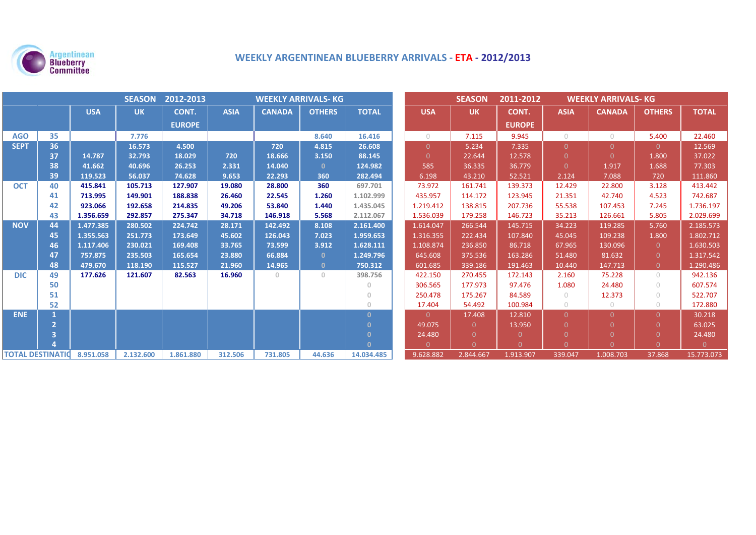

# **WEEKLY ARGENTINEAN BLUEBERRY ARRIVALS ‐ ETA ‐ 2012/2013**

| <b>SEASON</b><br>2012-2013<br><b>WEEKLY ARRIVALS- KG</b> |    |            |           |               |             |               |               |              | <b>SEASON</b> | 2011-2012<br><b>WEEKLY ARRIVALS- KG</b> |               |             |               |                                  |              |
|----------------------------------------------------------|----|------------|-----------|---------------|-------------|---------------|---------------|--------------|---------------|-----------------------------------------|---------------|-------------|---------------|----------------------------------|--------------|
|                                                          |    | <b>USA</b> | <b>UK</b> | CONT.         | <b>ASIA</b> | <b>CANADA</b> | <b>OTHERS</b> | <b>TOTAL</b> | <b>USA</b>    | <b>UK</b>                               | CONT.         | <b>ASIA</b> | <b>CANADA</b> | <b>OTHERS</b>                    | <b>TOTAL</b> |
|                                                          |    |            |           | <b>EUROPE</b> |             |               |               |              |               |                                         | <b>EUROPE</b> |             |               |                                  |              |
| <b>AGO</b>                                               | 35 |            | 7.776     |               |             |               | 8.640         | 16.416       | $\bigcirc$    | 7.115                                   | 9.945         | $\bigcap$   | $\circ$       | 5.400                            | 22.460       |
| <b>SEPT</b>                                              | 36 |            | 16.573    | 4.500         |             | 720           | 4.815         | 26.608       | $\Omega$      | 5.234                                   | 7.335         | $\Omega$    | $\Omega$      | $\Omega$                         | 12.569       |
|                                                          | 37 | 14.787     | 32.793    | 18.029        | 720         | 18.666        | 3.150         | 88.145       | $\Omega$      | 22.644                                  | 12.578        | $\Omega$    | $\Omega$      | 1.800                            | 37.022       |
|                                                          | 38 | 41.662     | 40.696    | 26.253        | 2.331       | 14.040        | $\mathbf{0}$  | 124.982      | 585           | 36.335                                  | 36.779        | $\Omega$    | 1.917         | 1.688                            | 77.303       |
|                                                          | 39 | 119.523    | 56.037    | 74.628        | 9.653       | 22.293        | 360           | 282.494      | 6.198         | 43.210                                  | 52.521        | 2.124       | 7.088         | 720                              | 111.860      |
| <b>OCT</b>                                               | 40 | 415.841    | 105.713   | 127.907       | 19.080      | 28.800        | 360           | 697.701      | 73.972        | 161.741                                 | 139.373       | 12.429      | 22.800        | 3.128                            | 413.442      |
|                                                          | 41 | 713.995    | 149.901   | 188.838       | 26.460      | 22.545        | 1.260         | 1.102.999    | 435.957       | 114.172                                 | 123.945       | 21.351      | 42.740        | 4.523                            | 742.687      |
|                                                          | 42 | 923.066    | 192.658   | 214.835       | 49.206      | 53.840        | 1.440         | 1.435.045    | 1.219.412     | 138.815                                 | 207.736       | 55.538      | 107.453       | 7.245                            | 1.736.197    |
|                                                          | 43 | 1.356.659  | 292.857   | 275.347       | 34.718      | 146.918       | 5.568         | 2.112.067    | 1.536.039     | 179.258                                 | 146.723       | 35.213      | 126.661       | 5.805                            | 2.029.699    |
| <b>NOV</b>                                               | 44 | 1.477.385  | 280.502   | 224.742       | 28.171      | 142.492       | 8.108         | 2.161.400    | 1.614.047     | 266.544                                 | 145.715       | 34.223      | 119.285       | 5.760                            | 2.185.573    |
|                                                          | 45 | 1.355.563  | 251.773   | 173.649       | 45.602      | 126.043       | 7.023         | 1.959.653    | 1.316.355     | 222.434                                 | 107.840       | 45.045      | 109.238       | 1.800                            | 1.802.712    |
|                                                          | 46 | 1.117.406  | 230.021   | 169.408       | 33.765      | 73.599        | 3.912         | 1.628.111    | 1.108.874     | 236.850                                 | 86.718        | 67.965      | 130.096       | $\Omega$                         | 1.630.503    |
|                                                          | 47 | 757.875    | 235.503   | 165.654       | 23.880      | 66.884        | $\mathbf{0}$  | 1.249.796    | 645.608       | 375.536                                 | 163.286       | 51.480      | 81.632        | $\Omega$                         | 1.317.542    |
|                                                          | 48 | 479.670    | 118.190   | 115.527       | 21.960      | 14.965        | $\mathbf{0}$  | 750.312      | 601.685       | 339.186                                 | 191.463       | 10.440      | 147.713       | $\overline{0}$                   | 1.290.486    |
| <b>DIC</b>                                               | 49 | 177.626    | 121.607   | 82.563        | 16.960      | $\Omega$      | $\Omega$      | 398.756      | 422.150       | 270.455                                 | 172.143       | 2.160       | 75.228        | $\bigcirc$                       | 942.136      |
|                                                          | 50 |            |           |               |             |               |               | $\Omega$     | 306.565       | 177.973                                 | 97.476        | 1.080       | 24.480        | $\bigcirc$                       | 607.574      |
|                                                          | 51 |            |           |               |             |               |               | $\circ$      | 250.478       | 175.267                                 | 84.589        | $\circ$     | 12.373        | $\begin{array}{c} \n\end{array}$ | 522.707      |
|                                                          | 52 |            |           |               |             |               |               | $\Omega$     | 17.404        | 54.492                                  | 100.984       | $\bigcirc$  | $\circ$       | $\bigcirc$                       | 172.880      |
| <b>ENE</b>                                               |    |            |           |               |             |               |               | $\Omega$     | $\Omega$      | 17.408                                  | 12.810        | $\Omega$    | $\Omega$      | $\Omega$                         | 30.218       |
|                                                          |    |            |           |               |             |               |               | $\Omega$     | 49.075        | $\Omega$                                | 13.950        | $\Omega$    | <sup>n</sup>  | $\Omega$                         | 63.025       |
|                                                          |    |            |           |               |             |               |               | $\Omega$     | 24.480        | $\Omega$                                |               |             | $\Omega$      | $\Omega$                         | 24.480       |
|                                                          |    |            |           |               |             |               |               | $\Omega$     | $\Omega$      | $\Omega$                                | $\Omega$      | $\Omega$    | $\Omega$      | $\Omega$                         | $\Omega$     |
| <b>TOTAL DESTINATIO</b>                                  |    | 8.951.058  | 2.132.600 | 1.861.880     | 312.506     | 731.805       | 44.636        | 14.034.485   | 9.628.882     | 2.844.667                               | 1.913.907     | 339.047     | 1.008.703     | 37.868                           | 15.773.073   |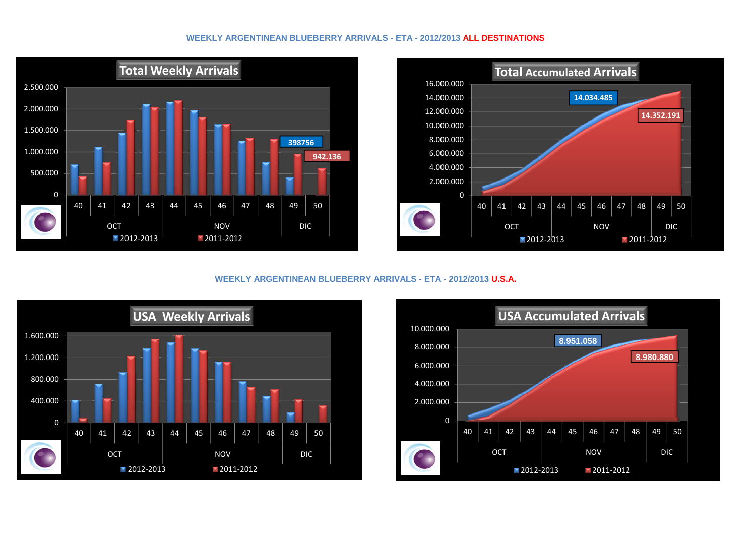### **WEEKLY ARGENTINEAN BLUEBERRY ARRIVALS - ETA - 2012/2013 ALL DESTINATIONS**





# **WEEKLY ARGENTINEAN BLUEBERRY ARRIVALS - ETA - 2012/2013 U.S.A.**



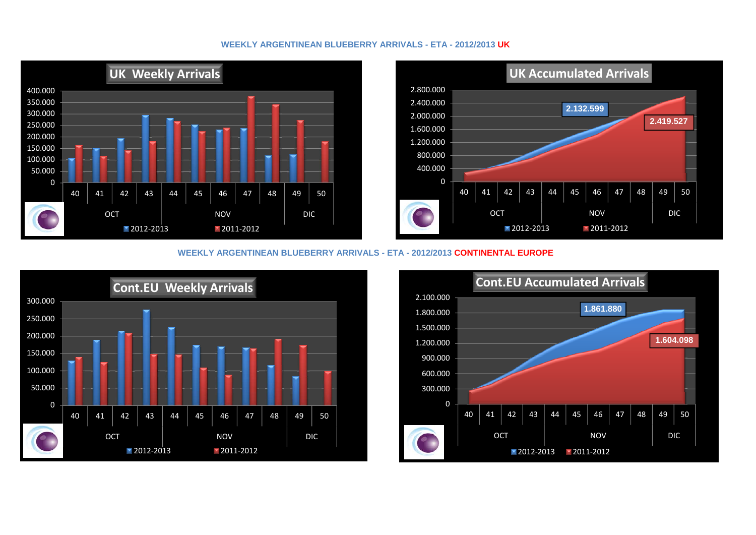# **WEEKLY ARGENTINEAN BLUEBERRY ARRIVALS - ETA - 2012/2013 UK**





#### **WEEKLY ARGENTINEAN BLUEBERRY ARRIVALS - ETA - 2012/2013 CONTINENTAL EUROPE**